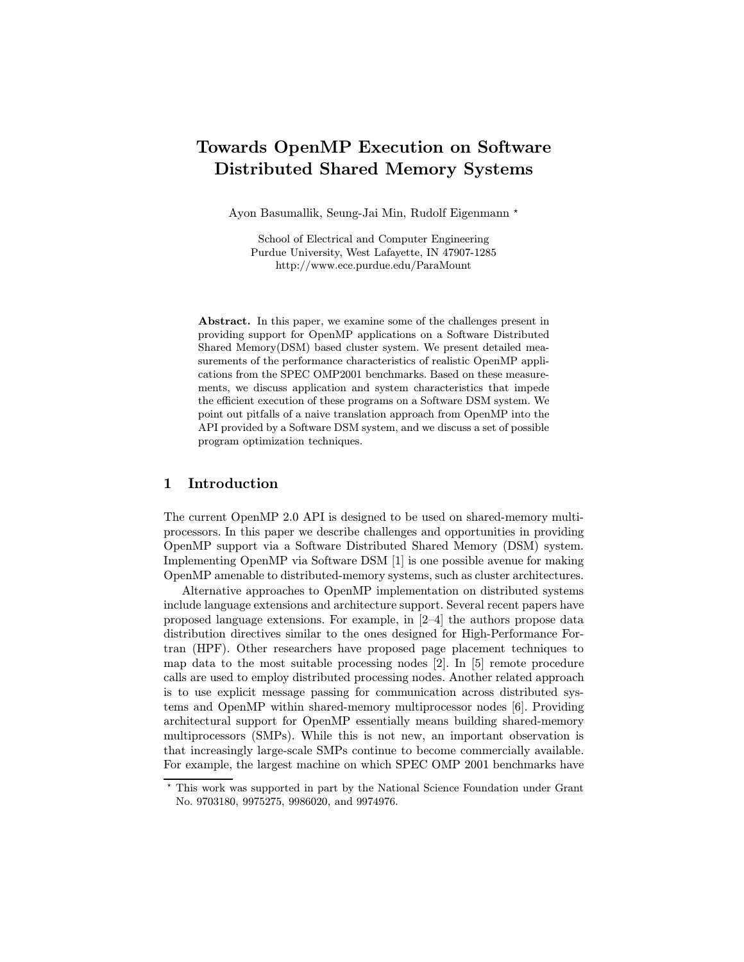# Towards OpenMP Execution on Software Distributed Shared Memory Systems

Ayon Basumallik, Seung-Jai Min, Rudolf Eigenmann \*

School of Electrical and Computer Engineering Purdue University, West Lafayette, IN 47907-1285 http://www.ece.purdue.edu/ParaMount

Abstract. In this paper, we examine some of the challenges present in providing support for OpenMP applications on a Software Distributed Shared Memory(DSM) based cluster system. We present detailed measurements of the performance characteristics of realistic OpenMP applications from the SPEC OMP2001 benchmarks. Based on these measurements, we discuss application and system characteristics that impede the efficient execution of these programs on a Software DSM system. We point out pitfalls of a naive translation approach from OpenMP into the API provided by a Software DSM system, and we discuss a set of possible program optimization techniques.

## 1 Introduction

The current OpenMP 2.0 API is designed to be used on shared-memory multiprocessors. In this paper we describe challenges and opportunities in providing OpenMP support via a Software Distributed Shared Memory (DSM) system. Implementing OpenMP via Software DSM [1] is one possible avenue for making OpenMP amenable to distributed-memory systems, such as cluster architectures.

Alternative approaches to OpenMP implementation on distributed systems include language extensions and architecture support. Several recent papers have proposed language extensions. For example, in [2–4] the authors propose data distribution directives similar to the ones designed for High-Performance Fortran (HPF). Other researchers have proposed page placement techniques to map data to the most suitable processing nodes [2]. In [5] remote procedure calls are used to employ distributed processing nodes. Another related approach is to use explicit message passing for communication across distributed systems and OpenMP within shared-memory multiprocessor nodes [6]. Providing architectural support for OpenMP essentially means building shared-memory multiprocessors (SMPs). While this is not new, an important observation is that increasingly large-scale SMPs continue to become commercially available. For example, the largest machine on which SPEC OMP 2001 benchmarks have

<sup>⋆</sup> This work was supported in part by the National Science Foundation under Grant No. 9703180, 9975275, 9986020, and 9974976.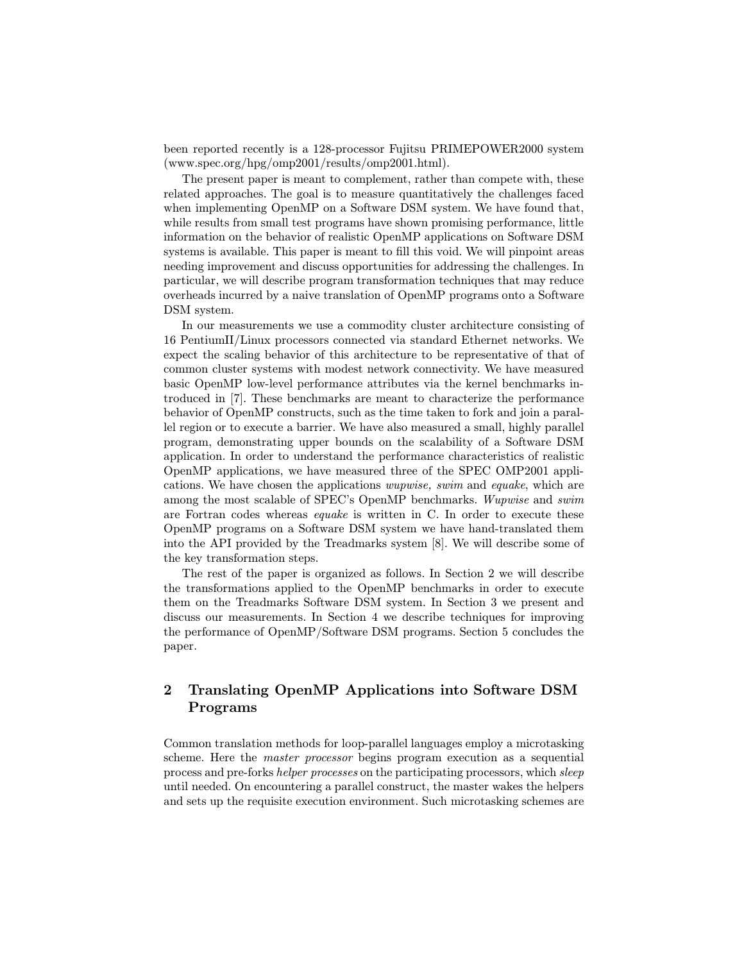been reported recently is a 128-processor Fujitsu PRIMEPOWER2000 system (www.spec.org/hpg/omp2001/results/omp2001.html).

The present paper is meant to complement, rather than compete with, these related approaches. The goal is to measure quantitatively the challenges faced when implementing OpenMP on a Software DSM system. We have found that, while results from small test programs have shown promising performance, little information on the behavior of realistic OpenMP applications on Software DSM systems is available. This paper is meant to fill this void. We will pinpoint areas needing improvement and discuss opportunities for addressing the challenges. In particular, we will describe program transformation techniques that may reduce overheads incurred by a naive translation of OpenMP programs onto a Software DSM system.

In our measurements we use a commodity cluster architecture consisting of 16 PentiumII/Linux processors connected via standard Ethernet networks. We expect the scaling behavior of this architecture to be representative of that of common cluster systems with modest network connectivity. We have measured basic OpenMP low-level performance attributes via the kernel benchmarks introduced in [7]. These benchmarks are meant to characterize the performance behavior of OpenMP constructs, such as the time taken to fork and join a parallel region or to execute a barrier. We have also measured a small, highly parallel program, demonstrating upper bounds on the scalability of a Software DSM application. In order to understand the performance characteristics of realistic OpenMP applications, we have measured three of the SPEC OMP2001 applications. We have chosen the applications wupwise, swim and equake, which are among the most scalable of SPEC's OpenMP benchmarks. Wupwise and swim are Fortran codes whereas equake is written in C. In order to execute these OpenMP programs on a Software DSM system we have hand-translated them into the API provided by the Treadmarks system [8]. We will describe some of the key transformation steps.

The rest of the paper is organized as follows. In Section 2 we will describe the transformations applied to the OpenMP benchmarks in order to execute them on the Treadmarks Software DSM system. In Section 3 we present and discuss our measurements. In Section 4 we describe techniques for improving the performance of OpenMP/Software DSM programs. Section 5 concludes the paper.

# 2 Translating OpenMP Applications into Software DSM Programs

Common translation methods for loop-parallel languages employ a microtasking scheme. Here the master processor begins program execution as a sequential process and pre-forks helper processes on the participating processors, which sleep until needed. On encountering a parallel construct, the master wakes the helpers and sets up the requisite execution environment. Such microtasking schemes are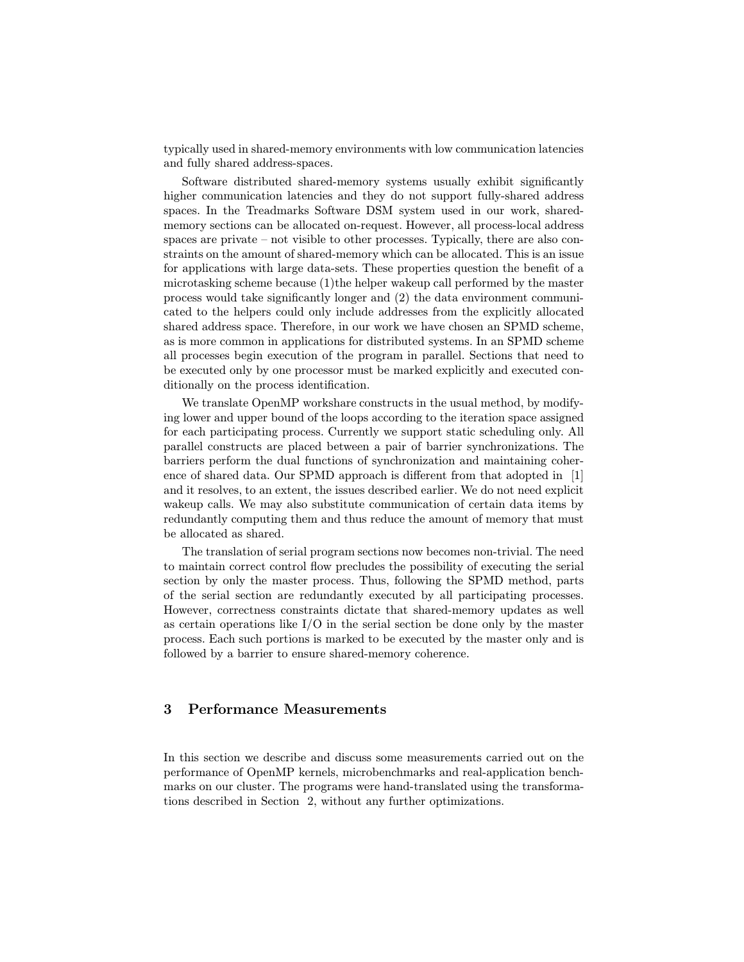typically used in shared-memory environments with low communication latencies and fully shared address-spaces.

Software distributed shared-memory systems usually exhibit significantly higher communication latencies and they do not support fully-shared address spaces. In the Treadmarks Software DSM system used in our work, sharedmemory sections can be allocated on-request. However, all process-local address spaces are private – not visible to other processes. Typically, there are also constraints on the amount of shared-memory which can be allocated. This is an issue for applications with large data-sets. These properties question the benefit of a microtasking scheme because (1)the helper wakeup call performed by the master process would take significantly longer and (2) the data environment communicated to the helpers could only include addresses from the explicitly allocated shared address space. Therefore, in our work we have chosen an SPMD scheme, as is more common in applications for distributed systems. In an SPMD scheme all processes begin execution of the program in parallel. Sections that need to be executed only by one processor must be marked explicitly and executed conditionally on the process identification.

We translate OpenMP workshare constructs in the usual method, by modifying lower and upper bound of the loops according to the iteration space assigned for each participating process. Currently we support static scheduling only. All parallel constructs are placed between a pair of barrier synchronizations. The barriers perform the dual functions of synchronization and maintaining coherence of shared data. Our SPMD approach is different from that adopted in [1] and it resolves, to an extent, the issues described earlier. We do not need explicit wakeup calls. We may also substitute communication of certain data items by redundantly computing them and thus reduce the amount of memory that must be allocated as shared.

The translation of serial program sections now becomes non-trivial. The need to maintain correct control flow precludes the possibility of executing the serial section by only the master process. Thus, following the SPMD method, parts of the serial section are redundantly executed by all participating processes. However, correctness constraints dictate that shared-memory updates as well as certain operations like  $I/O$  in the serial section be done only by the master process. Each such portions is marked to be executed by the master only and is followed by a barrier to ensure shared-memory coherence.

# 3 Performance Measurements

In this section we describe and discuss some measurements carried out on the performance of OpenMP kernels, microbenchmarks and real-application benchmarks on our cluster. The programs were hand-translated using the transformations described in Section 2, without any further optimizations.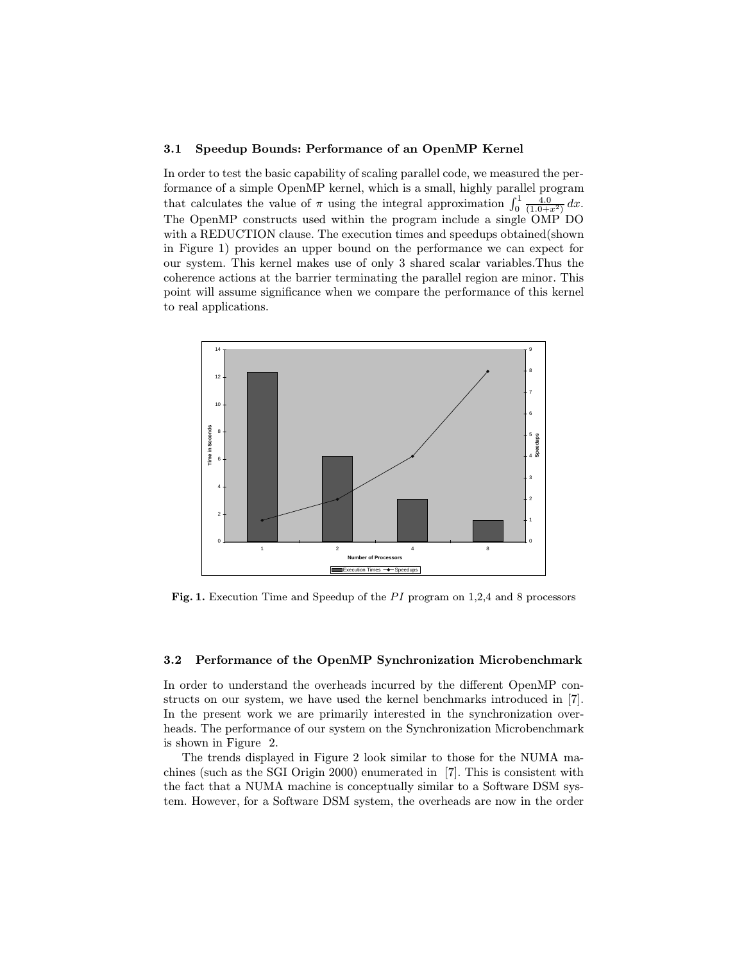#### 3.1 Speedup Bounds: Performance of an OpenMP Kernel

In order to test the basic capability of scaling parallel code, we measured the performance of a simple OpenMP kernel, which is a small, highly parallel program that calculates the value of  $\pi$  using the integral approximation  $\int_0^1 \frac{4.0}{(1.0+x^2)} dx$ . The OpenMP constructs used within the program include a single OMP DO with a REDUCTION clause. The execution times and speedups obtained(shown in Figure 1) provides an upper bound on the performance we can expect for our system. This kernel makes use of only 3 shared scalar variables.Thus the coherence actions at the barrier terminating the parallel region are minor. This point will assume significance when we compare the performance of this kernel to real applications.



Fig. 1. Execution Time and Speedup of the  $PI$  program on 1,2,4 and 8 processors

#### 3.2 Performance of the OpenMP Synchronization Microbenchmark

In order to understand the overheads incurred by the different OpenMP constructs on our system, we have used the kernel benchmarks introduced in [7]. In the present work we are primarily interested in the synchronization overheads. The performance of our system on the Synchronization Microbenchmark is shown in Figure 2.

The trends displayed in Figure 2 look similar to those for the NUMA machines (such as the SGI Origin 2000) enumerated in [7]. This is consistent with the fact that a NUMA machine is conceptually similar to a Software DSM system. However, for a Software DSM system, the overheads are now in the order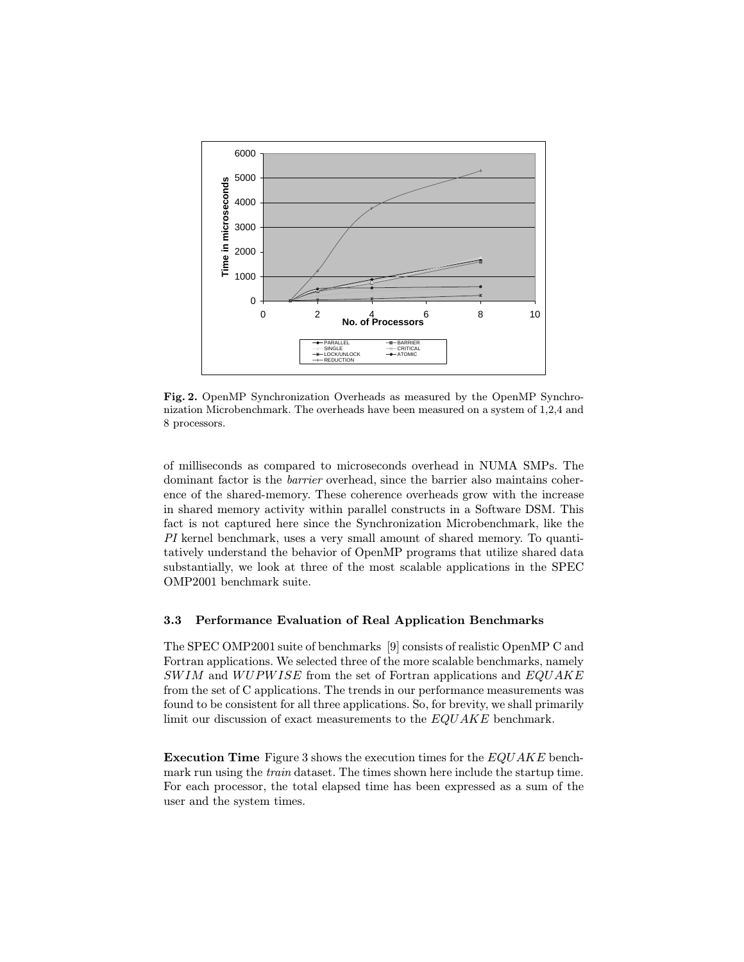

Fig. 2. OpenMP Synchronization Overheads as measured by the OpenMP Synchronization Microbenchmark. The overheads have been measured on a system of 1,2,4 and 8 processors.

of milliseconds as compared to microseconds overhead in NUMA SMPs. The dominant factor is the *barrier* overhead, since the barrier also maintains coherence of the shared-memory. These coherence overheads grow with the increase in shared memory activity within parallel constructs in a Software DSM. This fact is not captured here since the Synchronization Microbenchmark, like the PI kernel benchmark, uses a very small amount of shared memory. To quantitatively understand the behavior of OpenMP programs that utilize shared data substantially, we look at three of the most scalable applications in the SPEC OMP2001 benchmark suite.

### 3.3 Performance Evaluation of Real Application Benchmarks

The SPEC OMP2001 suite of benchmarks [9] consists of realistic OpenMP C and Fortran applications. We selected three of the more scalable benchmarks, namely SWIM and WUPWISE from the set of Fortran applications and EQUAKE from the set of C applications. The trends in our performance measurements was found to be consistent for all three applications. So, for brevity, we shall primarily limit our discussion of exact measurements to the EQUAKE benchmark.

Execution Time Figure 3 shows the execution times for the EQUAKE benchmark run using the train dataset. The times shown here include the startup time. For each processor, the total elapsed time has been expressed as a sum of the user and the system times.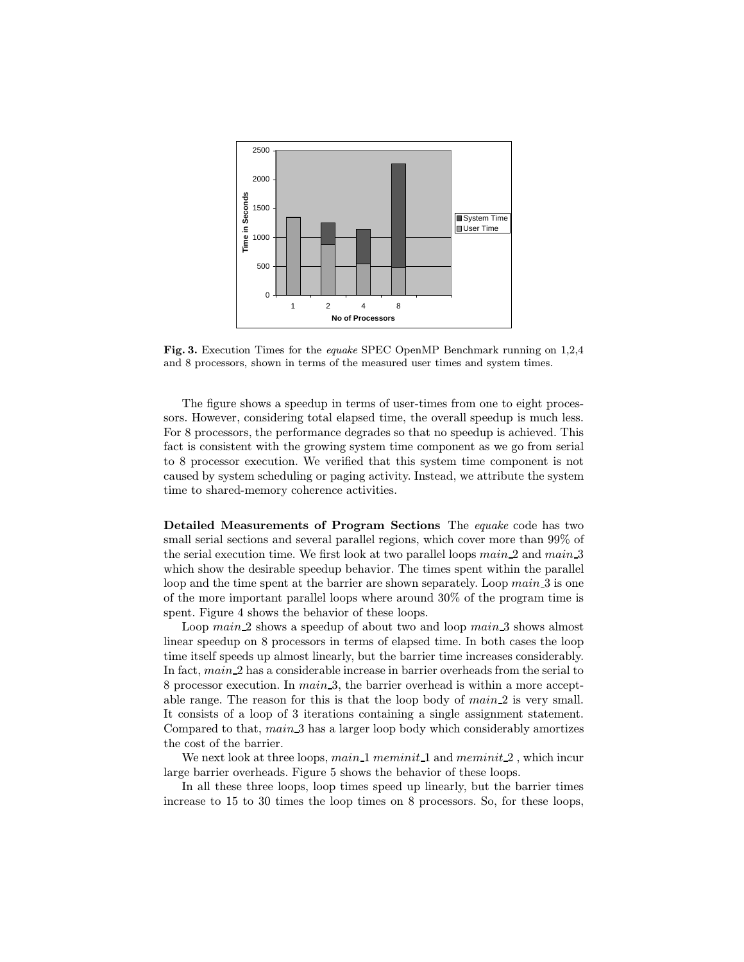

Fig. 3. Execution Times for the equake SPEC OpenMP Benchmark running on 1,2,4 and 8 processors, shown in terms of the measured user times and system times.

The figure shows a speedup in terms of user-times from one to eight processors. However, considering total elapsed time, the overall speedup is much less. For 8 processors, the performance degrades so that no speedup is achieved. This fact is consistent with the growing system time component as we go from serial to 8 processor execution. We verified that this system time component is not caused by system scheduling or paging activity. Instead, we attribute the system time to shared-memory coherence activities.

Detailed Measurements of Program Sections The equake code has two small serial sections and several parallel regions, which cover more than 99% of the serial execution time. We first look at two parallel loops main 2 and main 3 which show the desirable speedup behavior. The times spent within the parallel loop and the time spent at the barrier are shown separately. Loop main 3 is one of the more important parallel loops where around 30% of the program time is spent. Figure 4 shows the behavior of these loops.

Loop main 2 shows a speedup of about two and loop main 3 shows almost linear speedup on 8 processors in terms of elapsed time. In both cases the loop time itself speeds up almost linearly, but the barrier time increases considerably. In fact, main 2 has a considerable increase in barrier overheads from the serial to 8 processor execution. In main 3, the barrier overhead is within a more acceptable range. The reason for this is that the loop body of  $main_2$  is very small. It consists of a loop of 3 iterations containing a single assignment statement. Compared to that, main 3 has a larger loop body which considerably amortizes the cost of the barrier.

We next look at three loops,  $main_1$  meminit 1 and meminit 2, which incur large barrier overheads. Figure 5 shows the behavior of these loops.

In all these three loops, loop times speed up linearly, but the barrier times increase to 15 to 30 times the loop times on 8 processors. So, for these loops,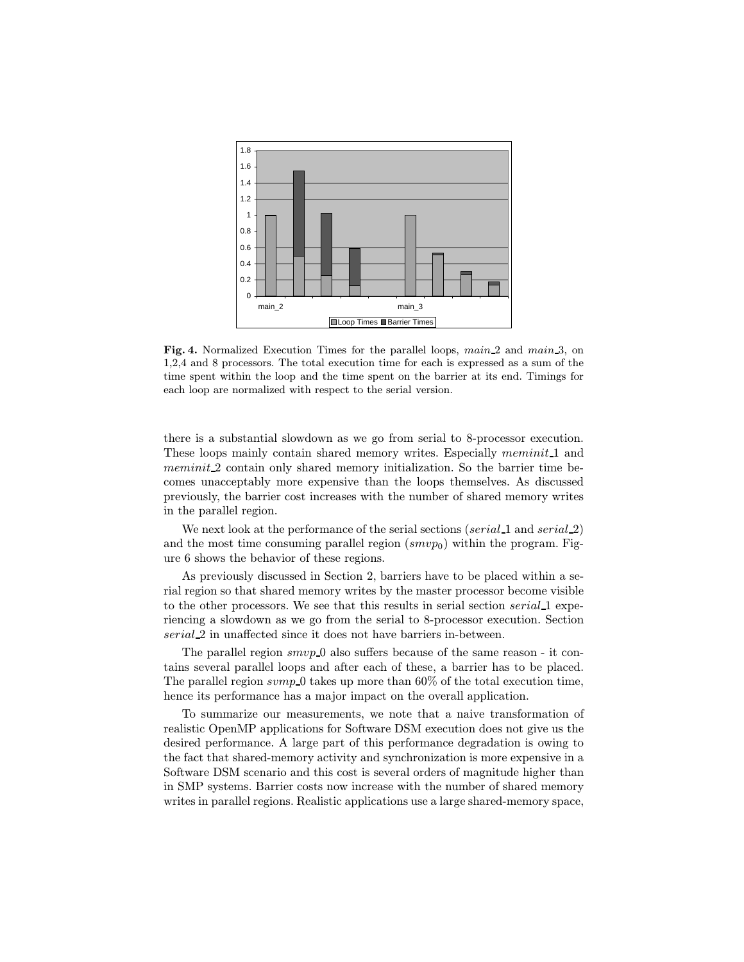

Fig. 4. Normalized Execution Times for the parallel loops, main 2 and main 3, on 1,2,4 and 8 processors. The total execution time for each is expressed as a sum of the time spent within the loop and the time spent on the barrier at its end. Timings for each loop are normalized with respect to the serial version.

there is a substantial slowdown as we go from serial to 8-processor execution. These loops mainly contain shared memory writes. Especially *meminit* 1 and  $meminit2$  contain only shared memory initialization. So the barrier time becomes unacceptably more expensive than the loops themselves. As discussed previously, the barrier cost increases with the number of shared memory writes in the parallel region.

We next look at the performance of the serial sections (serial  $\alpha$  and serial  $\alpha$ ) and the most time consuming parallel region  $(s m v p_0)$  within the program. Figure 6 shows the behavior of these regions.

As previously discussed in Section 2, barriers have to be placed within a serial region so that shared memory writes by the master processor become visible to the other processors. We see that this results in serial section serial 1 experiencing a slowdown as we go from the serial to 8-processor execution. Section serial 2 in unaffected since it does not have barriers in-between.

The parallel region  $smvp_0$  also suffers because of the same reason - it contains several parallel loops and after each of these, a barrier has to be placed. The parallel region  $sump_0$  takes up more than 60% of the total execution time, hence its performance has a major impact on the overall application.

To summarize our measurements, we note that a naive transformation of realistic OpenMP applications for Software DSM execution does not give us the desired performance. A large part of this performance degradation is owing to the fact that shared-memory activity and synchronization is more expensive in a Software DSM scenario and this cost is several orders of magnitude higher than in SMP systems. Barrier costs now increase with the number of shared memory writes in parallel regions. Realistic applications use a large shared-memory space,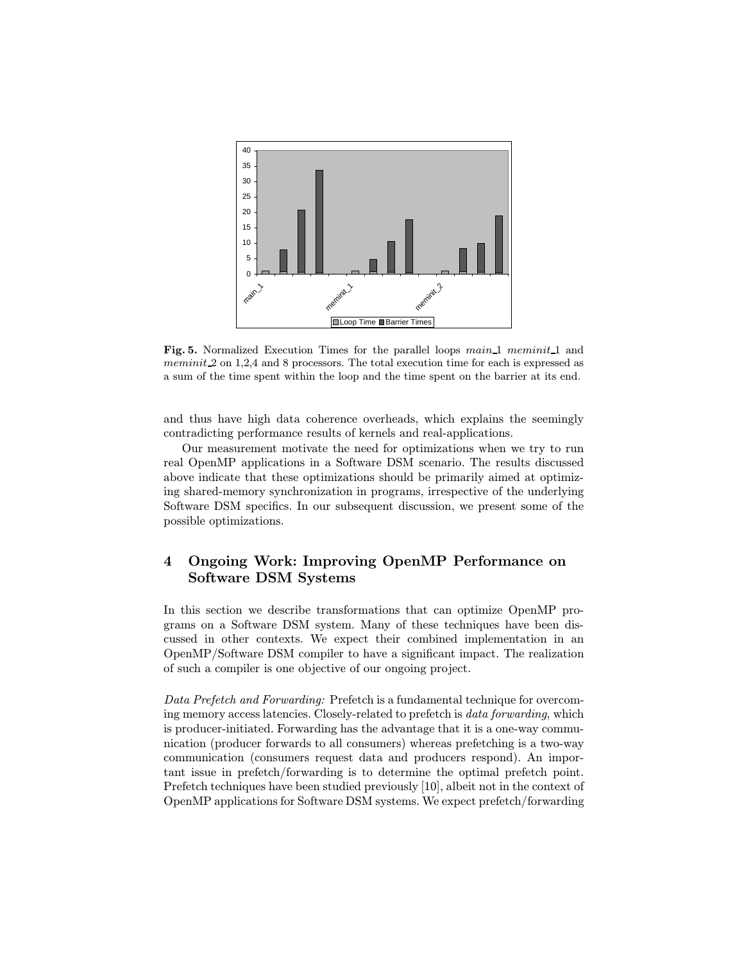

Fig. 5. Normalized Execution Times for the parallel loops main 1 meminit 1 and meminit 2 on 1,2,4 and 8 processors. The total execution time for each is expressed as a sum of the time spent within the loop and the time spent on the barrier at its end.

and thus have high data coherence overheads, which explains the seemingly contradicting performance results of kernels and real-applications.

Our measurement motivate the need for optimizations when we try to run real OpenMP applications in a Software DSM scenario. The results discussed above indicate that these optimizations should be primarily aimed at optimizing shared-memory synchronization in programs, irrespective of the underlying Software DSM specifics. In our subsequent discussion, we present some of the possible optimizations.

# 4 Ongoing Work: Improving OpenMP Performance on Software DSM Systems

In this section we describe transformations that can optimize OpenMP programs on a Software DSM system. Many of these techniques have been discussed in other contexts. We expect their combined implementation in an OpenMP/Software DSM compiler to have a significant impact. The realization of such a compiler is one objective of our ongoing project.

Data Prefetch and Forwarding: Prefetch is a fundamental technique for overcoming memory access latencies. Closely-related to prefetch is data forwarding, which is producer-initiated. Forwarding has the advantage that it is a one-way communication (producer forwards to all consumers) whereas prefetching is a two-way communication (consumers request data and producers respond). An important issue in prefetch/forwarding is to determine the optimal prefetch point. Prefetch techniques have been studied previously [10], albeit not in the context of OpenMP applications for Software DSM systems. We expect prefetch/forwarding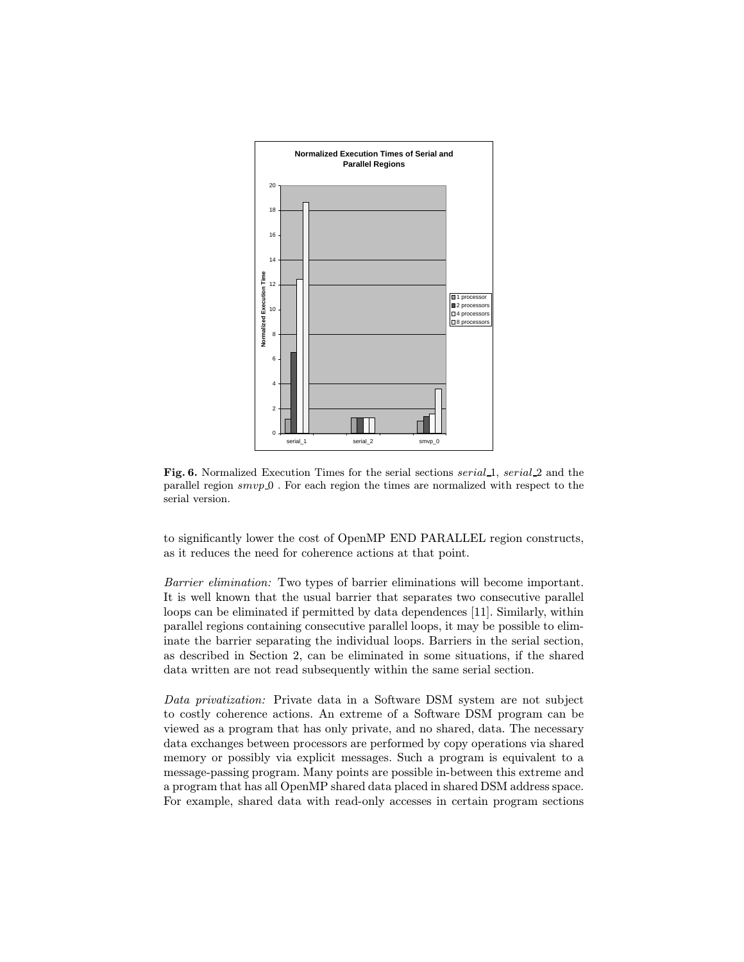

Fig. 6. Normalized Execution Times for the serial sections serial 1, serial 2 and the parallel region smvp 0 . For each region the times are normalized with respect to the serial version.

to significantly lower the cost of OpenMP END PARALLEL region constructs, as it reduces the need for coherence actions at that point.

Barrier elimination: Two types of barrier eliminations will become important. It is well known that the usual barrier that separates two consecutive parallel loops can be eliminated if permitted by data dependences [11]. Similarly, within parallel regions containing consecutive parallel loops, it may be possible to eliminate the barrier separating the individual loops. Barriers in the serial section, as described in Section 2, can be eliminated in some situations, if the shared data written are not read subsequently within the same serial section.

Data privatization: Private data in a Software DSM system are not subject to costly coherence actions. An extreme of a Software DSM program can be viewed as a program that has only private, and no shared, data. The necessary data exchanges between processors are performed by copy operations via shared memory or possibly via explicit messages. Such a program is equivalent to a message-passing program. Many points are possible in-between this extreme and a program that has all OpenMP shared data placed in shared DSM address space. For example, shared data with read-only accesses in certain program sections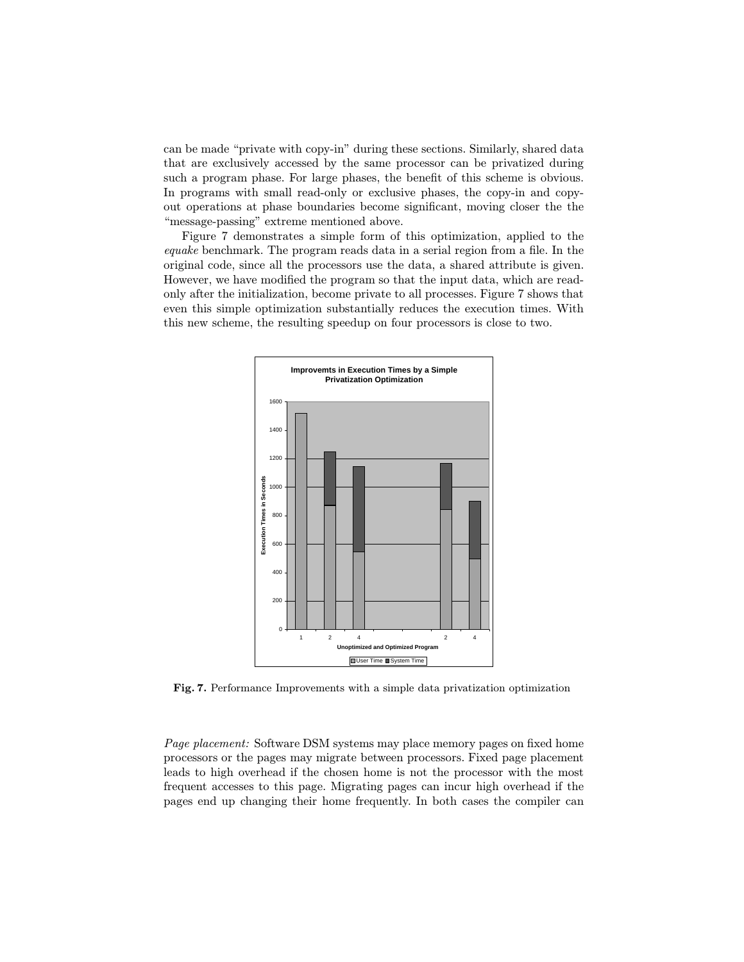can be made "private with copy-in" during these sections. Similarly, shared data that are exclusively accessed by the same processor can be privatized during such a program phase. For large phases, the benefit of this scheme is obvious. In programs with small read-only or exclusive phases, the copy-in and copyout operations at phase boundaries become significant, moving closer the the "message-passing" extreme mentioned above.

Figure 7 demonstrates a simple form of this optimization, applied to the equake benchmark. The program reads data in a serial region from a file. In the original code, since all the processors use the data, a shared attribute is given. However, we have modified the program so that the input data, which are readonly after the initialization, become private to all processes. Figure 7 shows that even this simple optimization substantially reduces the execution times. With this new scheme, the resulting speedup on four processors is close to two.



Fig. 7. Performance Improvements with a simple data privatization optimization

Page placement: Software DSM systems may place memory pages on fixed home processors or the pages may migrate between processors. Fixed page placement leads to high overhead if the chosen home is not the processor with the most frequent accesses to this page. Migrating pages can incur high overhead if the pages end up changing their home frequently. In both cases the compiler can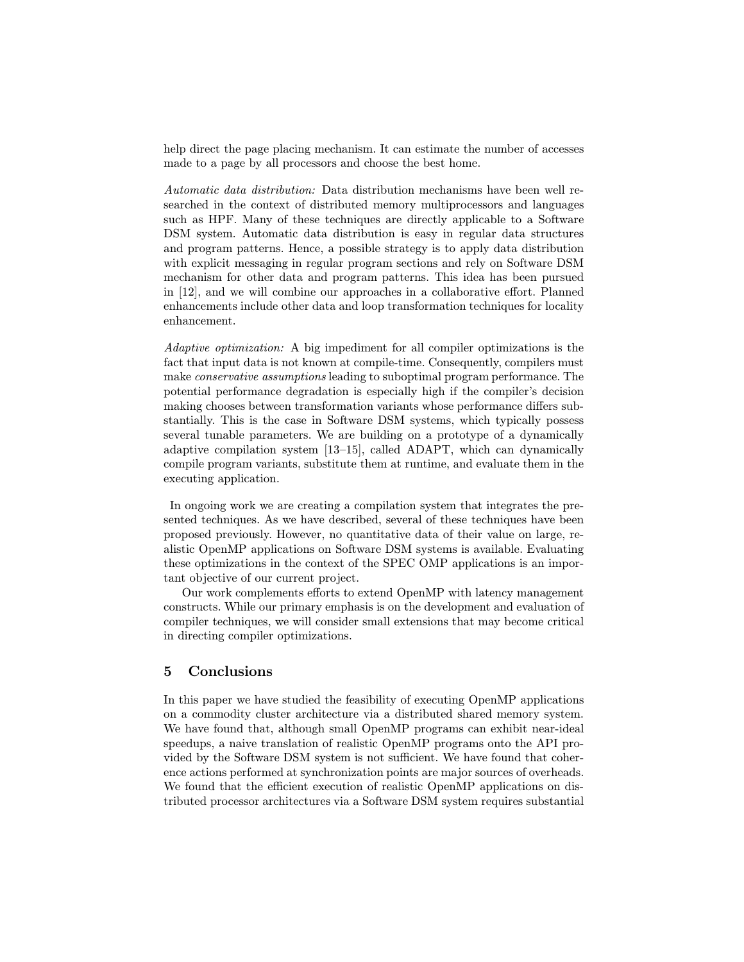help direct the page placing mechanism. It can estimate the number of accesses made to a page by all processors and choose the best home.

Automatic data distribution: Data distribution mechanisms have been well researched in the context of distributed memory multiprocessors and languages such as HPF. Many of these techniques are directly applicable to a Software DSM system. Automatic data distribution is easy in regular data structures and program patterns. Hence, a possible strategy is to apply data distribution with explicit messaging in regular program sections and rely on Software DSM mechanism for other data and program patterns. This idea has been pursued in [12], and we will combine our approaches in a collaborative effort. Planned enhancements include other data and loop transformation techniques for locality enhancement.

Adaptive optimization: A big impediment for all compiler optimizations is the fact that input data is not known at compile-time. Consequently, compilers must make conservative assumptions leading to suboptimal program performance. The potential performance degradation is especially high if the compiler's decision making chooses between transformation variants whose performance differs substantially. This is the case in Software DSM systems, which typically possess several tunable parameters. We are building on a prototype of a dynamically adaptive compilation system [13–15], called ADAPT, which can dynamically compile program variants, substitute them at runtime, and evaluate them in the executing application.

In ongoing work we are creating a compilation system that integrates the presented techniques. As we have described, several of these techniques have been proposed previously. However, no quantitative data of their value on large, realistic OpenMP applications on Software DSM systems is available. Evaluating these optimizations in the context of the SPEC OMP applications is an important objective of our current project.

Our work complements efforts to extend OpenMP with latency management constructs. While our primary emphasis is on the development and evaluation of compiler techniques, we will consider small extensions that may become critical in directing compiler optimizations.

## 5 Conclusions

In this paper we have studied the feasibility of executing OpenMP applications on a commodity cluster architecture via a distributed shared memory system. We have found that, although small OpenMP programs can exhibit near-ideal speedups, a naive translation of realistic OpenMP programs onto the API provided by the Software DSM system is not sufficient. We have found that coherence actions performed at synchronization points are major sources of overheads. We found that the efficient execution of realistic OpenMP applications on distributed processor architectures via a Software DSM system requires substantial